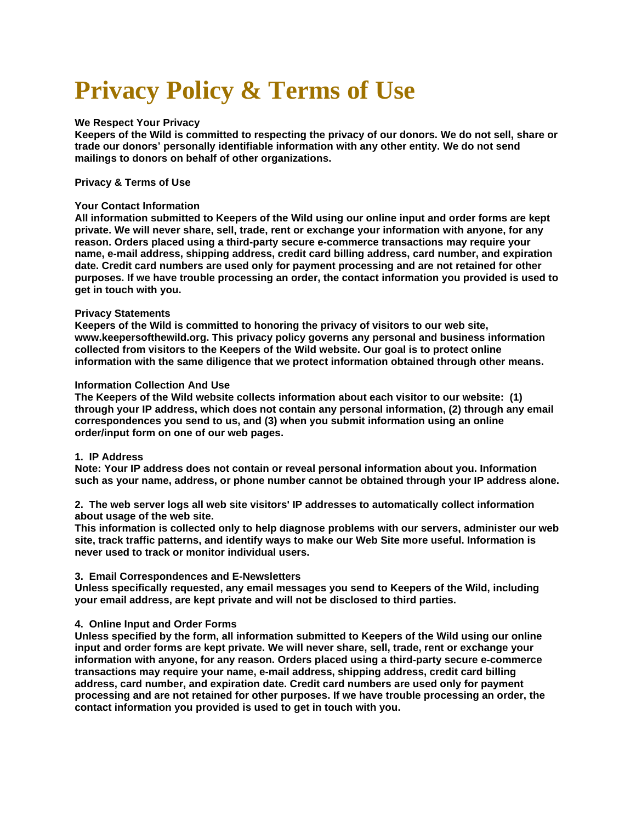# **Privacy Policy & Terms of Use**

# **We Respect Your Privacy**

Keepers of the Wild is committed to respecting the privacy of our donors. We do not sell, share or **trade our donors' personally identifiable information with any other entity. We do not send mailings to donors on behalf of other organizations.**

# **Privacy & Terms of Use**

## **Your Contact Information**

**All information submitted to Keepers of the Wild using our online input and order forms are kept private. We will never share, sell, trade, rent or exchange your information with anyone, for any reason. Orders placed using a third-party secure e-commerce transactions may require your name, e-mail address, shipping address, credit card billing address, card number, and expiration date. Credit card numbers are used only for payment processing and are not retained for other purposes. If we have trouble processing an order, the contact information you provided is used to get in touch with you.**

## **Privacy Statements**

**Keepers of the Wild is committed to honoring the privacy of visitors to our web site, www.keepersofthewild.org. This privacy policy governs any personal and business information collected from visitors to the Keepers of the Wild website. Our goal is to protect online information with the same diligence that we protect information obtained through other means.**

## **Information Collection And Use**

**The Keepers of the Wild website collects information about each visitor to our website: (1) through your IP address, which does not contain any personal information, (2) through any email correspondences you send to us, and (3) when you submit information using an online order/input form on one of our web pages.**

#### **1. IP Address**

**Note: Your IP address does not contain or reveal personal information about you. Information such as your name, address, or phone number cannot be obtained through your IP address alone.**

**2. The web server logs all web site visitors' IP addresses to automatically collect information about usage of the web site.**

**This information is collected only to help diagnose problems with our servers, administer our web site, track traffic patterns, and identify ways to make our Web Site more useful. Information is never used to track or monitor individual users.**

#### **3. Email Correspondences and E-Newsletters**

**Unless specifically requested, any email messages you send to Keepers of the Wild, including your email address, are kept private and will not be disclosed to third parties.**

# **4. Online Input and Order Forms**

**Unless specified by the form, all information submitted to Keepers of the Wild using our online input and order forms are kept private. We will never share, sell, trade, rent or exchange your information with anyone, for any reason. Orders placed using a third-party secure e-commerce transactions may require your name, e-mail address, shipping address, credit card billing address, card number, and expiration date. Credit card numbers are used only for payment processing and are not retained for other purposes. If we have trouble processing an order, the contact information you provided is used to get in touch with you.**